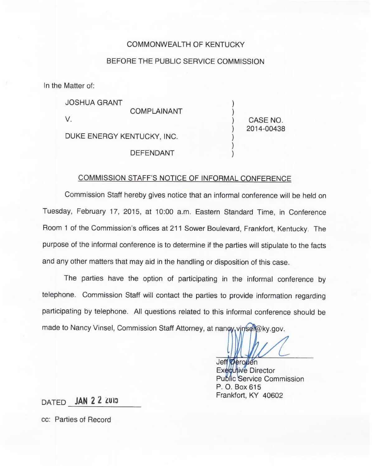## COMMONWEALTH OF KENTUCKY

## BEFORE THE PUBLIC SERVICE COMMISSION

In the Matter of:

| <b>JOSHUA GRANT</b>        |            |
|----------------------------|------------|
| <b>COMPLAINANT</b>         |            |
| V.                         | CASE NO.   |
| DUKE ENERGY KENTUCKY, INC. | 2014-00438 |
| <b>DEFENDANT</b>           |            |

## COMMISSION STAFF'S NOTICE OF INFORMAL CONFERENCE

Commission Staff hereby gives notice that an informal conference will be held on Tuesday, February 17, 2015, at 10:00 a.m. Eastern Standard Time, in Conference Room <sup>1</sup> of the Commission's offices at 211 Sower Boulevard, Frankfort, Kentucky. The purpose of the informal conference is to determine if the parties will stipulate to the facts and any other matters that may aid in the handling or disposition of this case.

The parties have the option of participating in the informal conference by telephone. Commission Staff will contact the parties to provide information regarding participating by telephone. All questions related to this informal conference should be made to Nancy Vinsel, Commission Staff Attorney, at nangy, vinsel@ky.gov.

Jeff Deronen

Executive Director **Public Service Commission** P. O. Box 615 Frankfort, KY 40602

DATED JAN 2 2 ZUI3

cc: Parties of Record